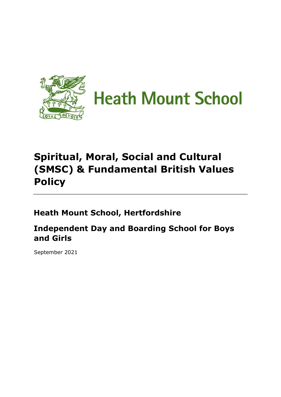

# **Spiritual, Moral, Social and Cultural (SMSC) & Fundamental British Values Policy**

**Heath Mount School, Hertfordshire** 

**Independent Day and Boarding School for Boys and Girls** 

September 2021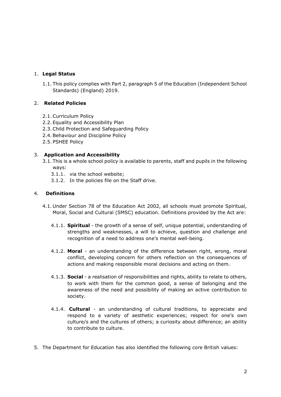# 1. **Legal Status**

1.1. This policy complies with Part 2, paragraph 5 of the Education (Independent School Standards) (England) 2019.

# 2. **Related Policies**

- 2.1.Curriculum Policy
- 2.2. Equality and Accessibility Plan
- 2.3.Child Protection and Safeguarding Policy
- 2.4.Behaviour and Discipline Policy
- 2.5. PSHEE Policy

# 3. **Application and Accessibility**

- 3.1. This is a whole school policy is available to parents, staff and pupils in the following ways:
	- 3.1.1. via the school website;
	- 3.1.2. In the policies file on the Staff drive.

# 4. **Definitions**

- 4.1. Under Section 78 of the Education Act 2002, all schools must promote Spiritual, Moral, Social and Cultural (SMSC) education. Definitions provided by the Act are:
	- 4.1.1. **Spiritual** the growth of a sense of self, unique potential, understanding of strengths and weaknesses, a will to achieve, question and challenge and recognition of a need to address one's mental well-being.
	- 4.1.2. **Moral** an understanding of the difference between right, wrong, moral conflict, developing concern for others reflection on the consequences of actions and making responsible moral decisions and acting on them.
	- 4.1.3. **Social** a realisation of responsibilities and rights, ability to relate to others, to work with them for the common good, a sense of belonging and the awareness of the need and possibility of making an active contribution to society.
	- 4.1.4. **Cultural** an understanding of cultural traditions, to appreciate and respond to a variety of aesthetic experiences; respect for one's own culture/s and the cultures of others; a curiosity about difference; an ability to contribute to culture.
- 5. The Department for Education has also identified the following core British values: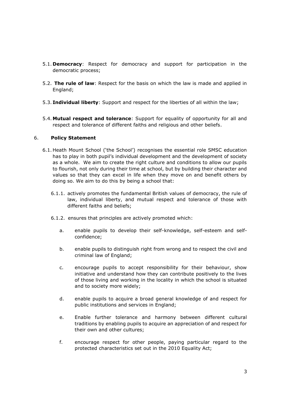- 5.1. **Democracy**: Respect for democracy and support for participation in the democratic process;
- 5.2. **The rule of law**: Respect for the basis on which the law is made and applied in England;
- 5.3. **Individual liberty**: Support and respect for the liberties of all within the law;
- 5.4. **Mutual respect and tolerance**: Support for equality of opportunity for all and respect and tolerance of different faiths and religious and other beliefs.

## 6. **Policy Statement**

- 6.1. Heath Mount School ('the School') recognises the essential role SMSC education has to play in both pupil's individual development and the development of society as a whole. We aim to create the right culture and conditions to allow our pupils to flourish, not only during their time at school, but by building their character and values so that they can excel in life when they move on and benefit others by doing so. We aim to do this by being a school that:
	- 6.1.1. actively promotes the fundamental British values of democracy, the rule of law, individual liberty, and mutual respect and tolerance of those with different faiths and beliefs;
	- 6.1.2. ensures that principles are actively promoted which:
		- a. enable pupils to develop their self-knowledge, self-esteem and selfconfidence;
		- b. enable pupils to distinguish right from wrong and to respect the civil and criminal law of England;
		- c. encourage pupils to accept responsibility for their behaviour, show initiative and understand how they can contribute positively to the lives of those living and working in the locality in which the school is situated and to society more widely;
		- d. enable pupils to acquire a broad general knowledge of and respect for public institutions and services in England;
		- e. Enable further tolerance and harmony between different cultural traditions by enabling pupils to acquire an appreciation of and respect for their own and other cultures;
		- f. encourage respect for other people, paying particular regard to the protected characteristics set out in the 2010 Equality Act;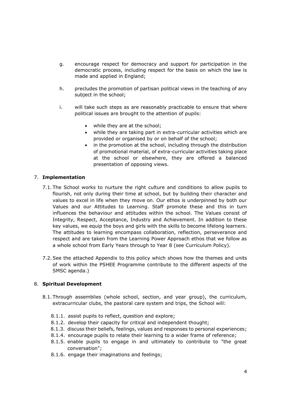- g. encourage respect for democracy and support for participation in the democratic process, including respect for the basis on which the law is made and applied in England;
- h. precludes the promotion of partisan political views in the teaching of any subject in the school;
- i. will take such steps as are reasonably practicable to ensure that where political issues are brought to the attention of pupils:
	- while they are at the school;
	- while they are taking part in extra-curricular activities which are provided or organised by or on behalf of the school;
	- in the promotion at the school, including through the distribution of promotional material, of extra-curricular activities taking place at the school or elsewhere, they are offered a balanced presentation of opposing views.

## 7. **Implementation**

- 7.1. The School works to nurture the right culture and conditions to allow pupils to flourish, not only during their time at school, but by building their character and values to excel in life when they move on. Our ethos is underpinned by both our Values and our Attitudes to Learning. Staff promote these and this in turn influences the behaviour and attitudes within the school. The Values consist of Integrity, Respect, Acceptance, Industry and Achievement. In addition to these key values, we equip the boys and girls with the skills to become lifelong learners. The attitudes to learning encompass collaboration, reflection, perseverance and respect and are taken from the Learning Power Approach ethos that we follow as a whole school from Early Years through to Year 8 (see Curriculum Policy).
- 7.2.See the attached Appendix to this policy which shows how the themes and units of work within the PSHEE Programme contribute to the different aspects of the SMSC agenda.)

#### 8. **Spiritual Development**

- 8.1. Through assemblies (whole school, section, and year group), the curriculum, extracurricular clubs, the pastoral care system and trips, the School will:
	- 8.1.1. assist pupils to reflect, question and explore;
	- 8.1.2. develop their capacity for critical and independent thought;
	- 8.1.3. discuss their beliefs, feelings, values and responses to personal experiences;
	- 8.1.4. encourage pupils to relate their learning to a wider frame of reference;
	- 8.1.5. enable pupils to engage in and ultimately to contribute to "the great conversation";
	- 8.1.6. engage their imaginations and feelings;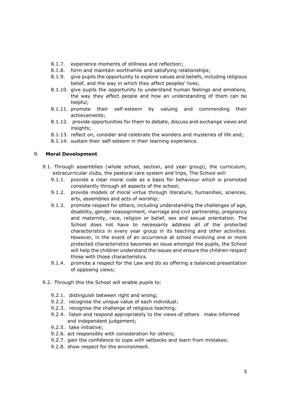- 8.1.7. experience moments of stillness and reflection;
- 8.1.8. form and maintain worthwhile and satisfying relationships;
- 8.1.9. give pupils the opportunity to explore values and beliefs, including religious belief, and the way in which they affect peoples' lives;
- 8.1.10. give pupils the opportunity to understand human feelings and emotions, the way they affect people and how an understanding of them can be helpful;
- 8.1.11. promote their self-esteem by valuing and commending their achievements;
- 8.1.12. provide opportunities for them to debate, discuss and exchange views and insights;
- 8.1.13. reflect on, consider and celebrate the wonders and mysteries of life and;
- 8.1.14. sustain their self-esteem in their learning experience.

## 9. **Moral Development**

- 9.1. Through assemblies (whole school, section, and year group), the curriculum, extracurricular clubs, the pastoral care system and trips, The School will:
	- 9.1.1. provide a clear moral code as a basis for behaviour which is promoted consistently through all aspects of the school;
	- 9.1.2. provide models of moral virtue through literature, humanities, sciences, arts, assemblies and acts of worship;
	- 9.1.3. promote respect for others, including understanding the challenges of age, disability, gender reassignment, marriage and civil partnership, pregnancy and maternity, race, religion or belief, sex and sexual orientation. The School does not have to necessarily address all of the protected characteristics in every year group in its teaching and other activities. However, in the event of an occurrence at school involving one or more protected characteristics becomes an issue amongst the pupils, the School will help the children understand the issues and ensure the children respect those with those characteristics.
	- 9.1.4. promote a respect for the Law and do so offering a balanced presentation of opposing views;
- 9.2. Through this the School will enable pupils to:
	- 9.2.1. distinguish between right and wrong;
	- 9.2.2. recognise the unique value of each individual;
	- 9.2.3. recognise the challenge of religious teaching;
	- 9.2.4. listen and respond appropriately to the views of others make informed and independent judgement;
	- 9.2.5. take initiative;
	- 9.2.6. act responsibly with consideration for others;
	- 9.2.7. gain the confidence to cope with setbacks and learn from mistakes;
	- 9.2.8. show respect for the environment.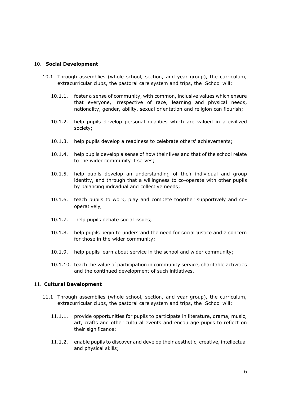#### 10. **Social Development**

- 10.1. Through assemblies (whole school, section, and year group), the curriculum, extracurricular clubs, the pastoral care system and trips, the School will:
	- 10.1.1. foster a sense of community, with common, inclusive values which ensure that everyone, irrespective of race, learning and physical needs, nationality, gender, ability, sexual orientation and religion can flourish;
	- 10.1.2. help pupils develop personal qualities which are valued in a civilized society;
	- 10.1.3. help pupils develop a readiness to celebrate others' achievements;
	- 10.1.4. help pupils develop a sense of how their lives and that of the school relate to the wider community it serves;
	- 10.1.5. help pupils develop an understanding of their individual and group identity, and through that a willingness to co-operate with other pupils by balancing individual and collective needs;
	- 10.1.6. teach pupils to work, play and compete together supportively and cooperatively;
	- 10.1.7. help pupils debate social issues;
	- 10.1.8. help pupils begin to understand the need for social justice and a concern for those in the wider community;
	- 10.1.9. help pupils learn about service in the school and wider community;
	- 10.1.10. teach the value of participation in community service, charitable activities and the continued development of such initiatives.

#### 11. **Cultural Development**

- 11.1. Through assemblies (whole school, section, and year group), the curriculum, extracurricular clubs, the pastoral care system and trips, the School will:
	- 11.1.1. provide opportunities for pupils to participate in literature, drama, music, art, crafts and other cultural events and encourage pupils to reflect on their significance;
	- 11.1.2. enable pupils to discover and develop their aesthetic, creative, intellectual and physical skills;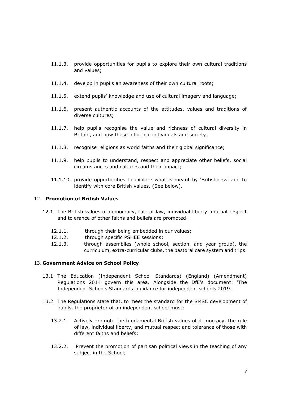- 11.1.3. provide opportunities for pupils to explore their own cultural traditions and values;
- 11.1.4. develop in pupils an awareness of their own cultural roots;
- 11.1.5. extend pupils' knowledge and use of cultural imagery and language;
- 11.1.6. present authentic accounts of the attitudes, values and traditions of diverse cultures;
- 11.1.7. help pupils recognise the value and richness of cultural diversity in Britain, and how these influence individuals and society;
- 11.1.8. recognise religions as world faiths and their global significance;
- 11.1.9. help pupils to understand, respect and appreciate other beliefs, social circumstances and cultures and their impact;
- 11.1.10. provide opportunities to explore what is meant by 'Britishness' and to identify with core British values. (See below).

#### 12. **Promotion of British Values**

- 12.1. The British values of democracy, rule of law, individual liberty, mutual respect and tolerance of other faiths and beliefs are promoted:
	- 12.1.1. through their being embedded in our values;
	- 12.1.2. through specific PSHEE sessions;
	- 12.1.3. through assemblies (whole school, section, and year group), the curriculum, extra-curricular clubs, the pastoral care system and trips.

#### 13. **Government Advice on School Policy**

- 13.1. The Education (Independent School Standards) (England) (Amendment) Regulations 2014 govern this area. Alongside the DfE's document: 'The Independent Schools Standards: guidance for independent schools 2019.
- 13.2. The Regulations state that, to meet the standard for the SMSC development of pupils, the proprietor of an independent school must:
	- 13.2.1. Actively promote the fundamental British values of democracy, the rule of law, individual liberty, and mutual respect and tolerance of those with different faiths and beliefs;
	- 13.2.2. Prevent the promotion of partisan political views in the teaching of any subject in the School;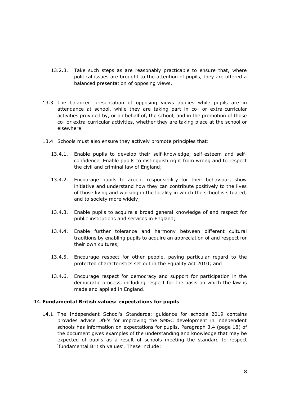- 13.2.3. Take such steps as are reasonably practicable to ensure that, where political issues are brought to the attention of pupils, they are offered a balanced presentation of opposing views.
- 13.3. The balanced presentation of opposing views applies while pupils are in attendance at school, while they are taking part in co- or extra-curricular activities provided by, or on behalf of, the school, and in the promotion of those co- or extra-curricular activities, whether they are taking place at the school or elsewhere.
- 13.4. Schools must also ensure they actively promote principles that:
	- 13.4.1. Enable pupils to develop their self-knowledge, self-esteem and selfconfidence Enable pupils to distinguish right from wrong and to respect the civil and criminal law of England;
	- 13.4.2. Encourage pupils to accept responsibility for their behaviour, show initiative and understand how they can contribute positively to the lives of those living and working in the locality in which the school is situated, and to society more widely;
	- 13.4.3. Enable pupils to acquire a broad general knowledge of and respect for public institutions and services in England;
	- 13.4.4. Enable further tolerance and harmony between different cultural traditions by enabling pupils to acquire an appreciation of and respect for their own cultures;
	- 13.4.5. Encourage respect for other people, paying particular regard to the protected characteristics set out in the Equality Act 2010; and
	- 13.4.6. Encourage respect for democracy and support for participation in the democratic process, including respect for the basis on which the law is made and applied in England.

## 14. **Fundamental British values: expectations for pupils**

14.1. The Independent School's Standards: guidance for schools 2019 contains provides advice DfE's for improving the SMSC development in independent schools has information on expectations for pupils. Paragraph 3.4 (page 18) of the document gives examples of the understanding and knowledge that may be expected of pupils as a result of schools meeting the standard to respect 'fundamental British values'. These include: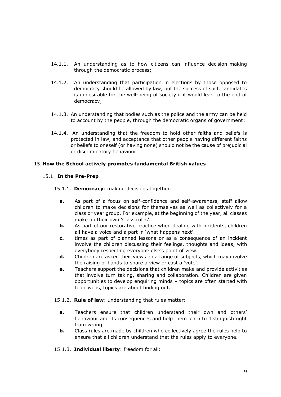- 14.1.1. An understanding as to how citizens can influence decision-making through the democratic process;
- 14.1.2. An understanding that participation in elections by those opposed to democracy should be allowed by law, but the success of such candidates is undesirable for the well-being of society if it would lead to the end of democracy;
- 14.1.3. An understanding that bodies such as the police and the army can be held to account by the people, through the democratic organs of government;
- 14.1.4. An understanding that the freedom to hold other faiths and beliefs is protected in law, and acceptance that other people having different faiths or beliefs to oneself (or having none) should not be the cause of prejudicial or discriminatory behaviour.

## 15. **How the School actively promotes fundamental British values**

## 15.1. **In the Pre-Prep**

15.1.1. **Democracy**: making decisions together:

- **a.** As part of a focus on self-confidence and self-awareness, staff allow children to make decisions for themselves as well as collectively for a class or year group. For example, at the beginning of the year, all classes make up their own 'Class rules'.
- **b.** As part of our restorative practice when dealing with incidents, children all have a voice and a part in 'what happens next'.
- **c.** times as part of planned lessons or as a consequence of an incident involve the children discussing their feelings, thoughts and ideas, with everybody respecting everyone else's point of view.
- **d.** Children are asked their views on a range of subjects, which may involve the raising of hands to share a view or cast a 'vote'.
- **e.** Teachers support the decisions that children make and provide activities that involve turn taking, sharing and collaboration. Children are given opportunities to develop enquiring minds – topics are often started with topic webs, topics are about finding out.
- 15.1.2. **Rule of law**: understanding that rules matter:
	- **a.** Teachers ensure that children understand their own and others' behaviour and its consequences and help them learn to distinguish right from wrong.
	- **b.** Class rules are made by children who collectively agree the rules help to ensure that all children understand that the rules apply to everyone.

#### 15.1.3. **Individual liberty**: freedom for all: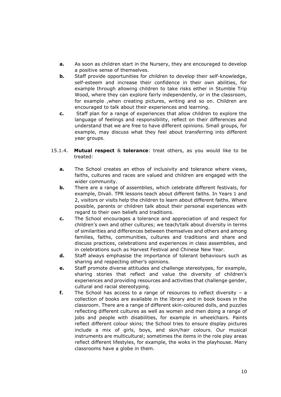- **a.** As soon as children start in the Nursery, they are encouraged to develop a positive sense of themselves.
- **b.** Staff provide opportunities for children to develop their self-knowledge, self-esteem and increase their confidence in their own abilities, for example through allowing children to take risks either in Stumble Trip Wood, where they can explore fairly independently, or in the classroom, for example ,when creating pictures, writing and so on. Children are encouraged to talk about their experiences and learning.
- **c.** Staff plan for a range of experiences that allow children to explore the language of feelings and responsibility, reflect on their differences and understand that we are free to have different opinions. Small groups, for example, may discuss what they feel about transferring into different year groups.
- 15.1.4. **Mutual respect** & **tolerance**: treat others, as you would like to be treated:
	- **a.** The School creates an ethos of inclusivity and tolerance where views, faiths, cultures and races are valued and children are engaged with the wider community.
	- **b.** There are a range of assemblies, which celebrate different festivals, for example, Divali. TPR lessons teach about different faiths. In Years 1 and 2, visitors or visits help the children to learn about different faiths. Where possible, parents or children talk about their personal experiences with regard to their own beliefs and traditions.
	- **c.** The School encourages a tolerance and appreciation of and respect for children's own and other cultures; we teach/talk about diversity in terms of similarities and differences between themselves and others and among families, faiths, communities, cultures and traditions and share and discuss practices, celebrations and experiences in class assemblies, and in celebrations such as Harvest Festival and Chinese New Year.
	- **d.** Staff always emphasise the importance of tolerant behaviours such as sharing and respecting other's opinions.
	- **e.** Staff promote diverse attitudes and challenge stereotypes, for example, sharing stories that reflect and value the diversity of children's experiences and providing resources and activities that challenge gender, cultural and racial stereotyping.
	- **f.** The School has access to a range of resources to reflect diversity a collection of books are available in the library and in book boxes in the classroom. There are a range of different skin-coloured dolls, and puzzles reflecting different cultures as well as women and men doing a range of jobs and people with disabilities, for example in wheelchairs. Paints reflect different colour skins; the School tries to ensure display pictures include a mix of girls, boys, and skin/hair colours. Our musical instruments are multicultural; sometimes the items in the role play areas reflect different lifestyles, for example, the woks in the playhouse. Many classrooms have a globe in them.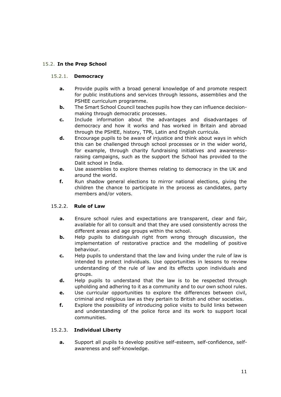# 15.2. **In the Prep School**

## 15.2.1. **Democracy**

- **a.** Provide pupils with a broad general knowledge of and promote respect for public institutions and services through lessons, assemblies and the PSHEE curriculum programme.
- **b.** The Smart School Council teaches pupils how they can influence decisionmaking through democratic processes.
- **c.** Include information about the advantages and disadvantages of democracy and how it works and has worked in Britain and abroad through the PSHEE, history, TPR, Latin and English curricula.
- **d.** Encourage pupils to be aware of injustice and think about ways in which this can be challenged through school processes or in the wider world, for example, through charity fundraising initiatives and awarenessraising campaigns, such as the support the School has provided to the Dalit school in India.
- **e.** Use assemblies to explore themes relating to democracy in the UK and around the world.
- **f.** Run shadow general elections to mirror national elections, giving the children the chance to participate in the process as candidates, party members and/or voters.

# 15.2.2. **Rule of Law**

- **a.** Ensure school rules and expectations are transparent, clear and fair, available for all to consult and that they are used consistently across the different areas and age groups within the school.
- **b.** Help pupils to distinguish right from wrong through discussion, the implementation of restorative practice and the modelling of positive behaviour.
- **c.** Help pupils to understand that the law and living under the rule of law is intended to protect individuals. Use opportunities in lessons to review understanding of the rule of law and its effects upon individuals and groups.
- **d.** Help pupils to understand that the law is to be respected through upholding and adhering to it as a community and to our own school rules.
- **e.** Use curricular opportunities to explore the differences between civil, criminal and religious law as they pertain to British and other societies.
- **f.** Explore the possibility of introducing police visits to build links between and understanding of the police force and its work to support local communities.

## 15.2.3. **Individual Liberty**

**a.** Support all pupils to develop positive self-esteem, self-confidence, selfawareness and self-knowledge.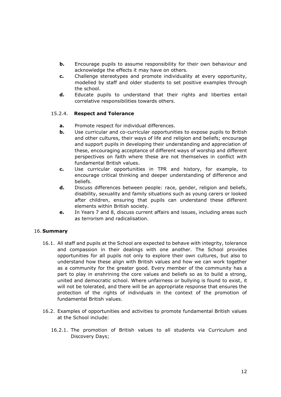- **b.** Encourage pupils to assume responsibility for their own behaviour and acknowledge the effects it may have on others.
- **c.** Challenge stereotypes and promote individuality at every opportunity, modelled by staff and older students to set positive examples through the school.
- **d.** Educate pupils to understand that their rights and liberties entail correlative responsibilities towards others.

## 15.2.4. **Respect and Tolerance**

- **a.** Promote respect for individual differences.
- **b.** Use curricular and co-curricular opportunities to expose pupils to British and other cultures, their ways of life and religion and beliefs; encourage and support pupils in developing their understanding and appreciation of these, encouraging acceptance of different ways of worship and different perspectives on faith where these are not themselves in conflict with fundamental British values.
- **c.** Use curricular opportunities in TPR and history, for example, to encourage critical thinking and deeper understanding of difference and beliefs.
- **d.** Discuss differences between people: race, gender, religion and beliefs, disability, sexuality and family situations such as young carers or looked after children, ensuring that pupils can understand these different elements within British society.
- **e.** In Years 7 and 8, discuss current affairs and issues, including areas such as terrorism and radicalisation.

## 16. **Summary**

- 16.1. All staff and pupils at the School are expected to behave with integrity, tolerance and compassion in their dealings with one another. The School provides opportunities for all pupils not only to explore their own cultures, but also to understand how these align with British values and how we can work together as a community for the greater good. Every member of the community has a part to play in enshrining the core values and beliefs so as to build a strong, united and democratic school. Where unfairness or bullying is found to exist, it will not be tolerated, and there will be an appropriate response that ensures the protection of the rights of individuals in the context of the promotion of fundamental British values.
- 16.2. Examples of opportunities and activities to promote fundamental British values at the School include:
	- 16.2.1. The promotion of British values to all students via Curriculum and Discovery Days;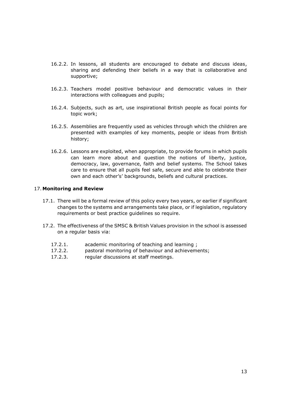- 16.2.2. In lessons, all students are encouraged to debate and discuss ideas, sharing and defending their beliefs in a way that is collaborative and supportive;
- 16.2.3. Teachers model positive behaviour and democratic values in their interactions with colleagues and pupils;
- 16.2.4. Subjects, such as art, use inspirational British people as focal points for topic work;
- 16.2.5. Assemblies are frequently used as vehicles through which the children are presented with examples of key moments, people or ideas from British history;
- 16.2.6. Lessons are exploited, when appropriate, to provide forums in which pupils can learn more about and question the notions of liberty, justice, democracy, law, governance, faith and belief systems. The School takes care to ensure that all pupils feel safe, secure and able to celebrate their own and each other's' backgrounds, beliefs and cultural practices.

#### 17. **Monitoring and Review**

- 17.1. There will be a formal review of this policy every two years, or earlier if significant changes to the systems and arrangements take place, or if legislation, regulatory requirements or best practice guidelines so require.
- 17.2. The effectiveness of the SMSC & British Values provision in the school is assessed on a regular basis via:
	- 17.2.1. academic monitoring of teaching and learning ;
	- 17.2.2. pastoral monitoring of behaviour and achievements;
	- 17.2.3. regular discussions at staff meetings.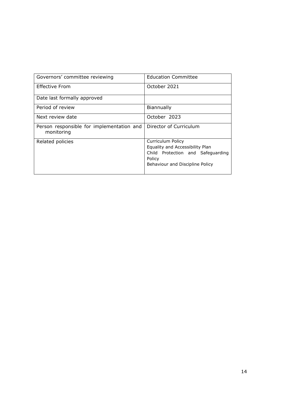| Governors' committee reviewing                          | <b>Education Committee</b>                                                                                                                           |
|---------------------------------------------------------|------------------------------------------------------------------------------------------------------------------------------------------------------|
| <b>Effective From</b>                                   | October 2021                                                                                                                                         |
| Date last formally approved                             |                                                                                                                                                      |
| Period of review                                        | Biannually                                                                                                                                           |
| Next review date                                        | October 2023                                                                                                                                         |
| Person responsible for implementation and<br>monitoring | Director of Curriculum                                                                                                                               |
| Related policies                                        | <b>Curriculum Policy</b><br>Equality and Accessibility Plan<br>Child Protection and Safeguarding<br><b>Policy</b><br>Behaviour and Discipline Policy |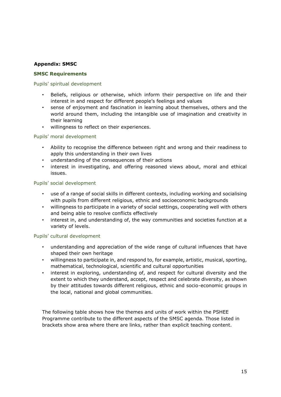## **Appendix: SMSC**

## **SMSC Requirements**

#### Pupils' spiritual development

- Beliefs, religious or otherwise, which inform their perspective on life and their interest in and respect for different people's feelings and values
- sense of enjoyment and fascination in learning about themselves, others and the world around them, including the intangible use of imagination and creativity in their learning
- willingness to reflect on their experiences.

## Pupils' moral development

- Ability to recognise the difference between right and wrong and their readiness to apply this understanding in their own lives
- understanding of the consequences of their actions
- interest in investigating, and offering reasoned views about, moral and ethical issues.

#### Pupils' social development

- use of a range of social skills in different contexts, including working and socialising with pupils from different religious, ethnic and socioeconomic backgrounds
- willingness to participate in a variety of social settings, cooperating well with others and being able to resolve conflicts effectively
- interest in, and understanding of, the way communities and societies function at a variety of levels.

## Pupils' cultural development

- understanding and appreciation of the wide range of cultural influences that have shaped their own heritage
- willingness to participate in, and respond to, for example, artistic, musical, sporting, mathematical, technological, scientific and cultural opportunities
- interest in exploring, understanding of, and respect for cultural diversity and the extent to which they understand, accept, respect and celebrate diversity, as shown by their attitudes towards different religious, ethnic and socio-economic groups in the local, national and global communities.

The following table shows how the themes and units of work within the PSHEE Programme contribute to the different aspects of the SMSC agenda. Those listed in brackets show area where there are links, rather than explicit teaching content.